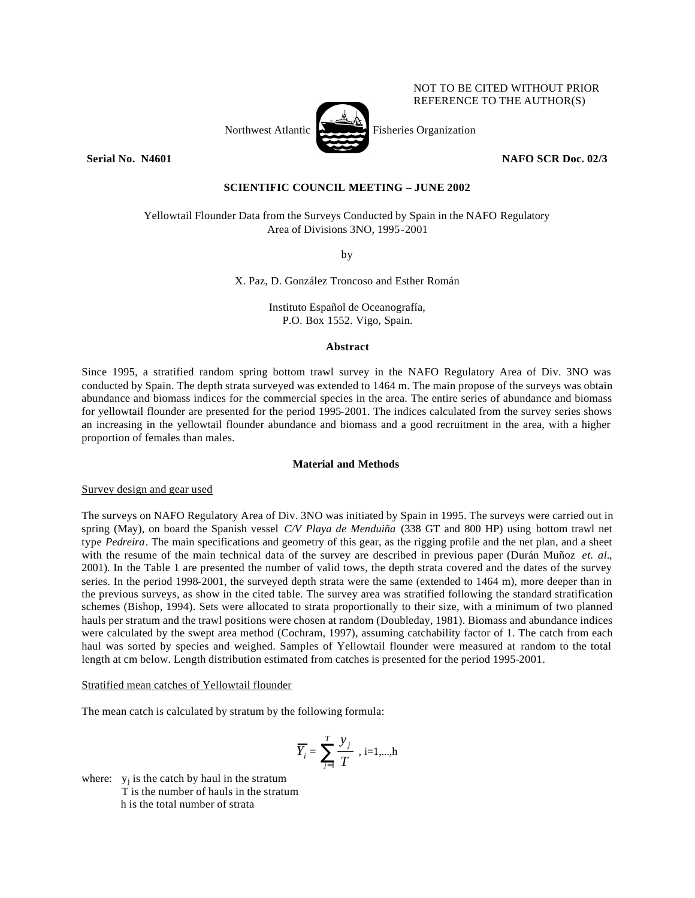## NOT TO BE CITED WITHOUT PRIOR REFERENCE TO THE AUTHOR(S)



**Serial No. N4601 NAFO SCR Doc. 02/3**

# **SCIENTIFIC COUNCIL MEETING – JUNE 2002**

Yellowtail Flounder Data from the Surveys Conducted by Spain in the NAFO Regulatory Area of Divisions 3NO, 1995-2001

by

X. Paz, D. González Troncoso and Esther Román

Instituto Español de Oceanografía, P.O. Box 1552. Vigo, Spain.

## **Abstract**

Since 1995, a stratified random spring bottom trawl survey in the NAFO Regulatory Area of Div. 3NO was conducted by Spain. The depth strata surveyed was extended to 1464 m. The main propose of the surveys was obtain abundance and biomass indices for the commercial species in the area. The entire series of abundance and biomass for yellowtail flounder are presented for the period 1995-2001. The indices calculated from the survey series shows an increasing in the yellowtail flounder abundance and biomass and a good recruitment in the area, with a higher proportion of females than males.

## **Material and Methods**

Survey design and gear used

The surveys on NAFO Regulatory Area of Div. 3NO was initiated by Spain in 1995. The surveys were carried out in spring (May), on board the Spanish vessel *C/V Playa de Menduiña* (338 GT and 800 HP) using bottom trawl net type *Pedreira*. The main specifications and geometry of this gear, as the rigging profile and the net plan, and a sheet with the resume of the main technical data of the survey are described in previous paper (Durán Muñoz *et. al.*, 2001). In the Table 1 are presented the number of valid tows, the depth strata covered and the dates of the survey series. In the period 1998-2001, the surveyed depth strata were the same (extended to 1464 m), more deeper than in the previous surveys, as show in the cited table. The survey area was stratified following the standard stratification schemes (Bishop, 1994). Sets were allocated to strata proportionally to their size, with a minimum of two planned hauls per stratum and the trawl positions were chosen at random (Doubleday, 1981). Biomass and abundance indices were calculated by the swept area method (Cochram, 1997), assuming catchability factor of 1. The catch from each haul was sorted by species and weighed. Samples of Yellowtail flounder were measured at random to the total length at cm below. Length distribution estimated from catches is presented for the period 1995-2001.

Stratified mean catches of Yellowtail flounder

The mean catch is calculated by stratum by the following formula:

$$
\overline{Y}_i = \sum_{j=1}^T \frac{y_j}{T} , i=1,...,h
$$

where:  $y_j$  is the catch by haul in the stratum T is the number of hauls in the stratum h is the total number of strata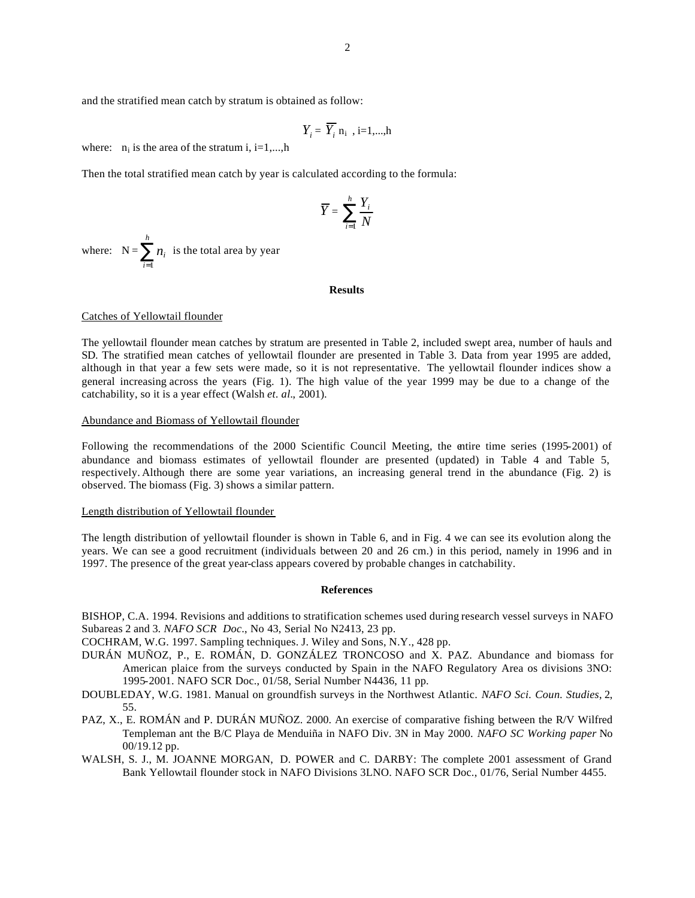and the stratified mean catch by stratum is obtained as follow:

$$
Y_i = \overline{Y}_i \, \mathbf{n}_i \, , i=1,...,h
$$

where:  $n_i$  is the area of the stratum i, i=1,...,h

Then the total stratified mean catch by year is calculated according to the formula:

$$
\overline{Y} = \sum_{i=1}^{h} \frac{Y_i}{N}
$$

where:  $N = \sum_{i=1}^{n}$ *h i ni* 1 is the total area by year

#### **Results**

## Catches of Yellowtail flounder

The yellowtail flounder mean catches by stratum are presented in Table 2, included swept area, number of hauls and SD. The stratified mean catches of yellowtail flounder are presented in Table 3. Data from year 1995 are added, although in that year a few sets were made, so it is not representative. The yellowtail flounder indices show a general increasing across the years (Fig. 1). The high value of the year 1999 may be due to a change of the catchability, so it is a year effect (Walsh *et. al.*, 2001).

### Abundance and Biomass of Yellowtail flounder

Following the recommendations of the 2000 Scientific Council Meeting, the entire time series (1995-2001) of abundance and biomass estimates of yellowtail flounder are presented (updated) in Table 4 and Table 5, respectively. Although there are some year variations, an increasing general trend in the abundance (Fig. 2) is observed. The biomass (Fig. 3) shows a similar pattern.

### Length distribution of Yellowtail flounder

The length distribution of yellowtail flounder is shown in Table 6, and in Fig. 4 we can see its evolution along the years. We can see a good recruitment (individuals between 20 and 26 cm.) in this period, namely in 1996 and in 1997. The presence of the great year-class appears covered by probable changes in catchability.

## **References**

BISHOP, C.A. 1994. Revisions and additions to stratification schemes used during research vessel surveys in NAFO Subareas 2 and 3*. NAFO SCR Doc*., No 43, Serial No N2413, 23 pp.

COCHRAM, W.G. 1997. Sampling techniques. J. Wiley and Sons, N.Y., 428 pp.

- DURÁN MUÑOZ, P., E. ROMÁN, D. GONZÁLEZ TRONCOSO and X. PAZ. Abundance and biomass for American plaice from the surveys conducted by Spain in the NAFO Regulatory Area os divisions 3NO: 1995-2001. NAFO SCR Doc., 01/58, Serial Number N4436, 11 pp.
- DOUBLEDAY, W.G. 1981. Manual on groundfish surveys in the Northwest Atlantic. *NAFO Sci. Coun. Studies*, 2, 55.
- PAZ, X., E. ROMÁN and P. DURÁN MUÑOZ. 2000. An exercise of comparative fishing between the R/V Wilfred Templeman ant the B/C Playa de Menduiña in NAFO Div. 3N in May 2000. *NAFO SC Working paper* No 00/19.12 pp.
- WALSH, S. J., M. JOANNE MORGAN, D. POWER and C. DARBY: The complete 2001 assessment of Grand Bank Yellowtail flounder stock in NAFO Divisions 3LNO. NAFO SCR Doc., 01/76, Serial Number 4455.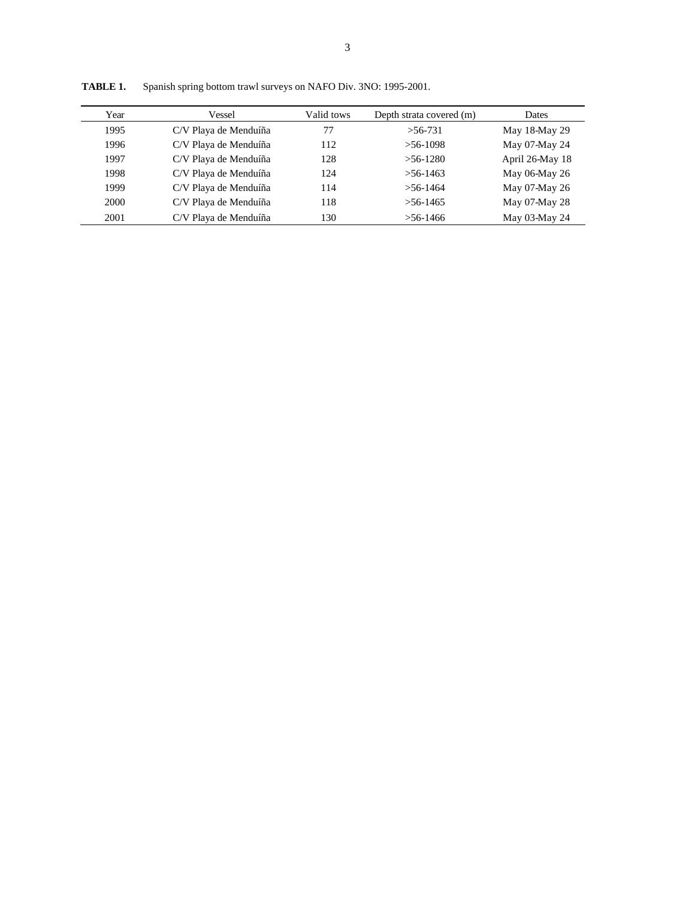| Year | Vessel                | Valid tows | Depth strata covered (m) | Dates           |
|------|-----------------------|------------|--------------------------|-----------------|
| 1995 | C/V Playa de Menduíña | 77         | $>56-731$                | May 18-May 29   |
| 1996 | C/V Playa de Menduíña | 112        | $>56-1098$               | May 07-May 24   |
| 1997 | C/V Playa de Menduíña | 128        | $>56-1280$               | April 26-May 18 |
| 1998 | C/V Playa de Menduíña | 124        | $> 56 - 1463$            | May 06-May 26   |
| 1999 | C/V Playa de Menduíña | 114        | $>56-1464$               | May 07-May 26   |
| 2000 | C/V Playa de Menduíña | 118        | $> 56 - 1465$            | May 07-May 28   |
| 2001 | C/V Playa de Menduíña | 130        | $>$ 56-1466              | May 03-May 24   |
|      |                       |            |                          |                 |

**TABLE 1.** Spanish spring bottom trawl surveys on NAFO Div. 3NO: 1995-2001.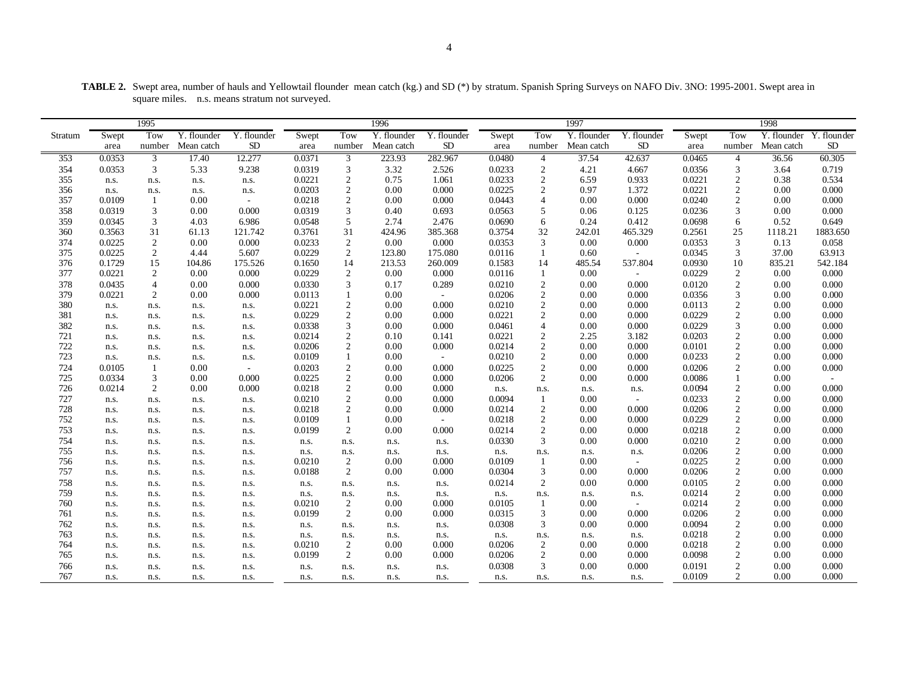|  |                                                | <b>TABLE 2.</b> Swept area, number of hauls and Yellowtail flounder mean catch (kg.) and SD (*) by stratum. Spanish Spring Surveys on NAFO Div. 3NO: 1995-2001. Swept area in |  |
|--|------------------------------------------------|-------------------------------------------------------------------------------------------------------------------------------------------------------------------------------|--|
|  | square miles. n.s. means stratum not surveved. |                                                                                                                                                                               |  |
|  |                                                |                                                                                                                                                                               |  |

|         |        | 1995             |                           |             |        |                | 1996        |             |        |                | 1997        |             |        |                | 1998        |             |
|---------|--------|------------------|---------------------------|-------------|--------|----------------|-------------|-------------|--------|----------------|-------------|-------------|--------|----------------|-------------|-------------|
| Stratum | Swept  | Tow              | $\overline{Y}$ . flounder | Y. flounder | Swept  | Tow            | Y. flounder | Y. flounder | Swept  | Tow            | Y. flounder | Y. flounder | Swept  | Tow            | Y. flounder | Y. flounder |
|         | area   | number           | Mean catch                | <b>SD</b>   | area   | number         | Mean catch  | <b>SD</b>   | area   | number         | Mean catch  | <b>SD</b>   | area   | number         | Mean catch  | $\rm SD$    |
| 353     | 0.0353 | 3                | 17.40                     | 12.277      | 0.0371 | 3              | 223.93      | 282.967     | 0.0480 | $\overline{4}$ | 37.54       | 42.637      | 0.0465 | 4              | 36.56       | 60.305      |
| 354     | 0.0353 | 3                | 5.33                      | 9.238       | 0.0319 | 3              | 3.32        | 2.526       | 0.0233 | 2              | 4.21        | 4.667       | 0.0356 | 3              | 3.64        | 0.719       |
| 355     | n.s.   | n.s.             | n.s.                      | n.s.        | 0.0221 | $\sqrt{2}$     | 0.75        | 1.061       | 0.0233 | $\sqrt{2}$     | 6.59        | 0.933       | 0.0221 | $\overline{2}$ | 0.38        | 0.534       |
| 356     | n.s.   | n.s.             | n.s.                      | n.s.        | 0.0203 | $\sqrt{2}$     | 0.00        | 0.000       | 0.0225 | $\overline{c}$ | 0.97        | 1.372       | 0.0221 | $\overline{2}$ | 0.00        | 0.000       |
| 357     | 0.0109 | -1               | 0.00                      | $\sim$      | 0.0218 | $\overline{c}$ | 0.00        | 0.000       | 0.0443 | $\overline{4}$ | 0.00        | 0.000       | 0.0240 | 2              | 0.00        | 0.000       |
| 358     | 0.0319 | 3                | 0.00                      | 0.000       | 0.0319 | 3              | 0.40        | 0.693       | 0.0563 | 5              | 0.06        | 0.125       | 0.0236 | 3              | 0.00        | 0.000       |
| 359     | 0.0345 | 3                | 4.03                      | 6.986       | 0.0548 | 5              | 2.74        | 2.476       | 0.0690 | 6              | 0.24        | 0.412       | 0.0698 | 6              | 0.52        | 0.649       |
| 360     | 0.3563 | 31               | 61.13                     | 121.742     | 0.3761 | 31             | 424.96      | 385.368     | 0.3754 | 32             | 242.01      | 465.329     | 0.2561 | 25             | 1118.21     | 1883.650    |
| 374     | 0.0225 | $\sqrt{2}$       | 0.00                      | 0.000       | 0.0233 | 2              | 0.00        | 0.000       | 0.0353 | 3              | 0.00        | 0.000       | 0.0353 | 3              | 0.13        | 0.058       |
| 375     | 0.0225 | 2                | 4.44                      | 5.607       | 0.0229 | 2              | 123.80      | 175.080     | 0.0116 | 1              | 0.60        | $\sim$      | 0.0345 | 3              | 37.00       | 63.913      |
| 376     | 0.1729 | 15               | 104.86                    | 175.526     | 0.1650 | 14             | 213.53      | 260.009     | 0.1583 | 14             | 485.54      | 537.804     | 0.0930 | 10             | 835.21      | 542.184     |
| 377     | 0.0221 | $\boldsymbol{2}$ | 0.00                      | 0.000       | 0.0229 | $\sqrt{2}$     | 0.00        | 0.000       | 0.0116 | 1              | $0.00\,$    | $\sim$      | 0.0229 | $\overline{2}$ | 0.00        | 0.000       |
| 378     | 0.0435 | $\overline{4}$   | 0.00                      | 0.000       | 0.0330 | 3              | 0.17        | 0.289       | 0.0210 | $\mathbf{2}$   | 0.00        | 0.000       | 0.0120 | $\overline{2}$ | 0.00        | 0.000       |
| 379     | 0.0221 | $\overline{2}$   | 0.00                      | 0.000       | 0.0113 | $\mathbf{1}$   | 0.00        | $\sim$      | 0.0206 | 2              | 0.00        | 0.000       | 0.0356 | 3              | 0.00        | 0.000       |
| 380     | n.s.   | n.s.             | n.s.                      | n.s.        | 0.0221 | $\overline{2}$ | 0.00        | 0.000       | 0.0210 | $\sqrt{2}$     | 0.00        | 0.000       | 0.0113 | $\overline{c}$ | 0.00        | 0.000       |
| 381     | n.s.   | n.s.             | n.s.                      | n.s.        | 0.0229 | $\sqrt{2}$     | 0.00        | 0.000       | 0.0221 | $\overline{c}$ | 0.00        | 0.000       | 0.0229 | $\overline{c}$ | 0.00        | 0.000       |
| 382     | n.s.   | n.s.             | n.s.                      | n.s.        | 0.0338 | 3              | 0.00        | 0.000       | 0.0461 | $\overline{4}$ | 0.00        | 0.000       | 0.0229 | 3              | 0.00        | 0.000       |
| 721     | n.s.   | n.s.             | n.s.                      | n.s.        | 0.0214 | $\overline{c}$ | 0.10        | 0.141       | 0.0221 | $\overline{2}$ | 2.25        | 3.182       | 0.0203 | $\overline{c}$ | 0.00        | 0.000       |
| 722     | n.s.   | n.s.             | n.s.                      | n.s.        | 0.0206 | $\overline{2}$ | 0.00        | 0.000       | 0.0214 | $\sqrt{2}$     | 0.00        | 0.000       | 0.0101 | $\overline{2}$ | 0.00        | 0.000       |
| 723     | n.s.   | n.s.             | n.s.                      | n.s.        | 0.0109 | $\mathbf{1}$   | 0.00        | $\sim$      | 0.0210 | 2              | 0.00        | 0.000       | 0.0233 | 2              | 0.00        | 0.000       |
| 724     | 0.0105 | $\mathbf{1}$     | 0.00                      | $\sim$      | 0.0203 | $\sqrt{2}$     | 0.00        | 0.000       | 0.0225 | $\mathbf{2}$   | 0.00        | 0.000       | 0.0206 | $\overline{2}$ | 0.00        | 0.000       |
| 725     | 0.0334 | 3                | 0.00                      | 0.000       | 0.0225 | $\overline{c}$ | 0.00        | 0.000       | 0.0206 | 2              | 0.00        | 0.000       | 0.0086 |                | 0.00        |             |
| 726     | 0.0214 | $\overline{2}$   | 0.00                      | 0.000       | 0.0218 | $\overline{c}$ | 0.00        | 0.000       | n.s.   | n.s.           | n.s.        | n.s.        | 0.0094 | $\overline{c}$ | 0.00        | 0.000       |
| 727     | n.s.   | n.s.             | n.s.                      | n.s.        | 0.0210 | $\overline{c}$ | 0.00        | 0.000       | 0.0094 | $\mathbf{1}$   | 0.00        | $\sim$      | 0.0233 | $\overline{c}$ | 0.00        | 0.000       |
| 728     | n.s.   | n.s.             | n.s.                      | n.s.        | 0.0218 | $\overline{c}$ | 0.00        | 0.000       | 0.0214 | 2              | 0.00        | 0.000       | 0.0206 | 2              | 0.00        | 0.000       |
| 752     | n.s.   | n.s.             | n.s.                      | n.s.        | 0.0109 | $\mathbf{1}$   | 0.00        | $\sim$      | 0.0218 | 2              | 0.00        | 0.000       | 0.0229 | $\overline{2}$ | 0.00        | 0.000       |
| 753     | n.s.   | n.s.             | n.s.                      | n.s.        | 0.0199 | $\mathbf{2}$   | 0.00        | 0.000       | 0.0214 | $\mathbf{2}$   | 0.00        | 0.000       | 0.0218 | $\overline{c}$ | $0.00\,$    | 0.000       |
| 754     | n.s.   | n.s.             | n.s.                      | n.s.        | n.s.   | n.s.           | n.s.        | n.s.        | 0.0330 | 3              | 0.00        | 0.000       | 0.0210 | $\overline{2}$ | 0.00        | 0.000       |
| 755     | n.s.   | n.s.             | n.s.                      | n.s.        | n.s.   | n.s.           | n.s.        | n.s.        | n.s.   | n.s.           | n.s.        | n.s.        | 0.0206 | $\overline{c}$ | 0.00        | 0.000       |
| 756     | n.s.   | n.s.             | n.s.                      | n.s.        | 0.0210 | $\overline{c}$ | 0.00        | 0.000       | 0.0109 | $\mathbf{1}$   | 0.00        | $\sim$      | 0.0225 | $\overline{c}$ | 0.00        | 0.000       |
| 757     | n.s.   | n.s.             | n.s.                      | n.s.        | 0.0188 | $\overline{2}$ | 0.00        | 0.000       | 0.0304 | 3              | 0.00        | 0.000       | 0.0206 | $\overline{c}$ | 0.00        | 0.000       |
| 758     | n.s.   | n.s.             | n.s.                      | n.s.        | n.s.   | n.s.           | n.s.        | n.s.        | 0.0214 | $\sqrt{2}$     | 0.00        | 0.000       | 0.0105 | $\mathfrak{2}$ | 0.00        | 0.000       |
| 759     | n.s.   | n.s.             | n.s.                      | n.s.        | n.s.   | n.s.           | n.s.        | n.s.        | n.s.   | n.s.           | n.s.        | n.s.        | 0.0214 | $\overline{2}$ | 0.00        | 0.000       |
| 760     | n.s.   | n.s.             | n.s.                      | n.s.        | 0.0210 | 2              | 0.00        | 0.000       | 0.0105 | -1             | 0.00        | $\sim$      | 0.0214 | 2              | 0.00        | 0.000       |
| 761     | n.s.   | n.s.             | n.s.                      | n.s.        | 0.0199 | 2              | 0.00        | 0.000       | 0.0315 | 3              | 0.00        | 0.000       | 0.0206 | $\overline{2}$ | 0.00        | 0.000       |
| 762     | n.s.   | n.s.             | n.s.                      | n.s.        | n.s.   | n.s.           | n.s.        | n.s.        | 0.0308 | 3              | 0.00        | 0.000       | 0.0094 | $\overline{2}$ | 0.00        | 0.000       |
| 763     | n.s.   | n.s.             | n.s.                      | n.s.        | n.s.   | n.s.           | n.s.        | n.s.        | n.s.   | n.s.           | n.s.        | n.s.        | 0.0218 | $\overline{c}$ | $0.00\,$    | 0.000       |
| 764     | n.s.   | n.s.             | n.s.                      | n.s.        | 0.0210 | 2              | 0.00        | 0.000       | 0.0206 | 2              | 0.00        | 0.000       | 0.0218 | $\overline{c}$ | 0.00        | 0.000       |
| 765     | n.s.   | n.s.             | n.s.                      | n.s.        | 0.0199 | 2              | 0.00        | 0.000       | 0.0206 | 2              | 0.00        | 0.000       | 0.0098 | $\overline{2}$ | 0.00        | 0.000       |
| 766     | n.s.   | n.s.             | n.s.                      | n.s.        | n.s.   | n.s.           | n.s.        | n.s.        | 0.0308 | 3              | 0.00        | 0.000       | 0.0191 | 2              | 0.00        | 0.000       |
| 767     | n.s.   | n.s.             | n.s.                      | n.s.        | n.s.   | n.s.           | n.s.        | n.s.        | n.s.   | n.s.           | n.s.        | n.s.        | 0.0109 | $\overline{2}$ | 0.00        | 0.000       |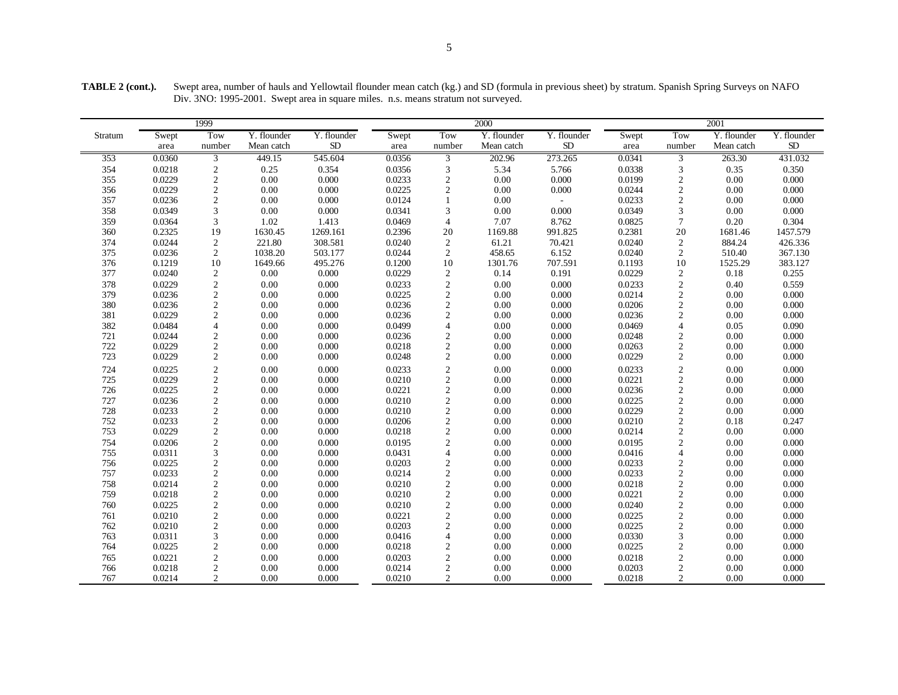**TABLE 2 (cont.).** Swept area, number of hauls and Yellowtail flounder mean catch (kg.) and SD (formula in previous sheet) by stratum. Spanish Spring Surveys on NAFO Div. 3NO: 1995-2001. Swept area in square miles. n.s. means stratum not surveyed.

|         |        | 1999                                          |             |             |        |                | 2000        |             |        |                             | 2001        |             |
|---------|--------|-----------------------------------------------|-------------|-------------|--------|----------------|-------------|-------------|--------|-----------------------------|-------------|-------------|
| Stratum | Swept  | Tow                                           | Y. flounder | Y. flounder | Swept  | Tow            | Y. flounder | Y. flounder | Swept  | Tow                         | Y. flounder | Y. flounder |
|         | area   | number                                        | Mean catch  | ${\rm SD}$  | area   | number         | Mean catch  | ${\rm SD}$  | area   | number                      | Mean catch  | SD          |
| 353     | 0.0360 | $\overline{3}$                                | 449.15      | 545.604     | 0.0356 | 3              | 202.96      | 273.265     | 0.0341 | 3                           | 263.30      | 431.032     |
| 354     | 0.0218 | $\overline{c}$                                | 0.25        | 0.354       | 0.0356 | 3              | 5.34        | 5.766       | 0.0338 | 3                           | 0.35        | 0.350       |
| 355     | 0.0229 | $\overline{c}$                                | 0.00        | 0.000       | 0.0233 | $\mathbf{2}$   | 0.00        | 0.000       | 0.0199 | $\overline{c}$              | 0.00        | 0.000       |
| 356     | 0.0229 | $\overline{c}$                                | 0.00        | 0.000       | 0.0225 | $\overline{c}$ | 0.00        | 0.000       | 0.0244 | $\sqrt{2}$                  | 0.00        | 0.000       |
| 357     | 0.0236 | $\overline{c}$                                | 0.00        | 0.000       | 0.0124 | $\mathbf{1}$   | 0.00        |             | 0.0233 | $\mathbf{2}$                | 0.00        | 0.000       |
| 358     | 0.0349 | 3                                             | 0.00        | 0.000       | 0.0341 | 3              | $0.00\,$    | 0.000       | 0.0349 | 3                           | 0.00        | 0.000       |
| 359     | 0.0364 | $\ensuremath{\mathfrak{Z}}$                   | 1.02        | 1.413       | 0.0469 | $\overline{4}$ | 7.07        | 8.762       | 0.0825 | $\tau$                      | 0.20        | 0.304       |
| 360     | 0.2325 | 19                                            | 1630.45     | 1269.161    | 0.2396 | 20             | 1169.88     | 991.825     | 0.2381 | 20                          | 1681.46     | 1457.579    |
| 374     | 0.0244 | $\sqrt{2}$                                    | 221.80      | 308.581     | 0.0240 | $\sqrt{2}$     | 61.21       | 70.421      | 0.0240 | $\sqrt{2}$                  | 884.24      | 426.336     |
| 375     | 0.0236 | $\sqrt{2}$                                    | 1038.20     | 503.177     | 0.0244 | $\sqrt{2}$     | 458.65      | 6.152       | 0.0240 | 2                           | 510.40      | 367.130     |
| 376     | 0.1219 | 10                                            | 1649.66     | 495.276     | 0.1200 | 10             | 1301.76     | 707.591     | 0.1193 | 10                          | 1525.29     | 383.127     |
| 377     | 0.0240 | $\boldsymbol{2}$                              | $0.00\,$    | $0.000\,$   | 0.0229 | $\sqrt{2}$     | 0.14        | 0.191       | 0.0229 | $\sqrt{2}$                  | 0.18        | 0.255       |
| 378     | 0.0229 | $\begin{smallmatrix}2\\2\\2\end{smallmatrix}$ | $0.00\,$    | 0.000       | 0.0233 | $\sqrt{2}$     | 0.00        | 0.000       | 0.0233 | $\sqrt{2}$                  | 0.40        | 0.559       |
| 379     | 0.0236 |                                               | 0.00        | 0.000       | 0.0225 | $\sqrt{2}$     | $0.00\,$    | 0.000       | 0.0214 | $\sqrt{2}$                  | 0.00        | 0.000       |
| 380     | 0.0236 |                                               | 0.00        | 0.000       | 0.0236 | $\sqrt{2}$     | 0.00        | 0.000       | 0.0206 | $\sqrt{2}$                  | 0.00        | $0.000\,$   |
| 381     | 0.0229 | $\overline{c}$                                | 0.00        | 0.000       | 0.0236 | $\sqrt{2}$     | $0.00\,$    | 0.000       | 0.0236 | $\sqrt{2}$                  | 0.00        | 0.000       |
| 382     | 0.0484 | $\overline{4}$                                | 0.00        | 0.000       | 0.0499 | $\overline{4}$ | 0.00        | 0.000       | 0.0469 | $\overline{\mathcal{L}}$    | 0.05        | 0.090       |
| 721     | 0.0244 | $\frac{2}{2}$                                 | 0.00        | 0.000       | 0.0236 | $\sqrt{2}$     | 0.00        | 0.000       | 0.0248 | $\sqrt{2}$                  | 0.00        | 0.000       |
| 722     | 0.0229 |                                               | 0.00        | 0.000       | 0.0218 | $\sqrt{2}$     | $0.00\,$    | 0.000       | 0.0263 | $\mathbf{2}$                | 0.00        | 0.000       |
| 723     | 0.0229 | $\overline{c}$                                | 0.00        | 0.000       | 0.0248 | $\sqrt{2}$     | 0.00        | 0.000       | 0.0229 | $\sqrt{2}$                  | 0.00        | 0.000       |
| 724     | 0.0225 | $\frac{2}{2}$                                 | 0.00        | 0.000       | 0.0233 | $\sqrt{2}$     | 0.00        | 0.000       | 0.0233 | $\sqrt{2}$                  | 0.00        | 0.000       |
| 725     | 0.0229 |                                               | 0.00        | 0.000       | 0.0210 | $\sqrt{2}$     | 0.00        | 0.000       | 0.0221 | $\sqrt{2}$                  | 0.00        | 0.000       |
| 726     | 0.0225 | $\overline{c}$                                | 0.00        | 0.000       | 0.0221 | $\sqrt{2}$     | 0.00        | 0.000       | 0.0236 | $\sqrt{2}$                  | 0.00        | 0.000       |
| 727     | 0.0236 | $\begin{smallmatrix}2\\2\\2\end{smallmatrix}$ | 0.00        | 0.000       | 0.0210 | $\sqrt{2}$     | 0.00        | 0.000       | 0.0225 | $\sqrt{2}$                  | 0.00        | 0.000       |
| 728     | 0.0233 |                                               | 0.00        | 0.000       | 0.0210 | $\sqrt{2}$     | 0.00        | 0.000       | 0.0229 | $\sqrt{2}$                  | 0.00        | 0.000       |
| 752     | 0.0233 |                                               | 0.00        | 0.000       | 0.0206 | $\overline{2}$ | 0.00        | 0.000       | 0.0210 | $\mathbf{2}$                | 0.18        | 0.247       |
| 753     | 0.0229 | $\overline{c}$                                | 0.00        | 0.000       | 0.0218 | $\sqrt{2}$     | 0.00        | 0.000       | 0.0214 | $\mathfrak{2}$              | 0.00        | 0.000       |
| 754     | 0.0206 | $\overline{c}$                                | 0.00        | 0.000       | 0.0195 | $\sqrt{2}$     | $0.00\,$    | 0.000       | 0.0195 | $\sqrt{2}$                  | 0.00        | 0.000       |
| 755     | 0.0311 | 3                                             | 0.00        | 0.000       | 0.0431 | $\overline{4}$ | 0.00        | 0.000       | 0.0416 | $\overline{\mathcal{L}}$    | 0.00        | 0.000       |
| 756     | 0.0225 | $\overline{c}$                                | 0.00        | 0.000       | 0.0203 | $\overline{c}$ | $0.00\,$    | 0.000       | 0.0233 | $\sqrt{2}$                  | 0.00        | 0.000       |
| 757     | 0.0233 | $\frac{2}{2}$                                 | 0.00        | $0.000\,$   | 0.0214 | $\sqrt{2}$     | $0.00\,$    | 0.000       | 0.0233 | $\sqrt{2}$                  | 0.00        | 0.000       |
| 758     | 0.0214 |                                               | 0.00        | 0.000       | 0.0210 | $\overline{2}$ | 0.00        | 0.000       | 0.0218 | $\sqrt{2}$                  | 0.00        | 0.000       |
| 759     | 0.0218 | $\overline{c}$                                | 0.00        | 0.000       | 0.0210 | $\sqrt{2}$     | 0.00        | 0.000       | 0.0221 | $\sqrt{2}$                  | 0.00        | 0.000       |
| 760     | 0.0225 | $\overline{c}$                                | 0.00        | 0.000       | 0.0210 | $\sqrt{2}$     | $0.00\,$    | 0.000       | 0.0240 | $\sqrt{2}$                  | 0.00        | 0.000       |
| 761     | 0.0210 | $\overline{\mathbf{c}}$                       | 0.00        | 0.000       | 0.0221 | $\sqrt{2}$     | 0.00        | 0.000       | 0.0225 | $\sqrt{2}$                  | 0.00        | 0.000       |
| 762     | 0.0210 | $\overline{c}$                                | 0.00        | 0.000       | 0.0203 | $\overline{c}$ | 0.00        | 0.000       | 0.0225 | $\sqrt{2}$                  | 0.00        | 0.000       |
| 763     | 0.0311 | $\overline{\mathbf{3}}$                       | 0.00        | 0.000       | 0.0416 | $\overline{4}$ | 0.00        | 0.000       | 0.0330 | $\ensuremath{\mathfrak{Z}}$ | 0.00        | 0.000       |
| 764     | 0.0225 | $\overline{c}$                                | 0.00        | 0.000       | 0.0218 | $\sqrt{2}$     | 0.00        | 0.000       | 0.0225 | $\sqrt{2}$                  | 0.00        | 0.000       |
| 765     | 0.0221 | $\overline{c}$                                | 0.00        | 0.000       | 0.0203 | $\overline{2}$ | 0.00        | 0.000       | 0.0218 | $\sqrt{2}$                  | 0.00        | 0.000       |
| 766     | 0.0218 | $\overline{c}$                                | 0.00        | 0.000       | 0.0214 | $\mathbf{2}$   | 0.00        | 0.000       | 0.0203 | $\sqrt{2}$                  | 0.00        | 0.000       |
| 767     | 0.0214 | $\overline{2}$                                | 0.00        | 0.000       | 0.0210 | 2              | 0.00        | 0.000       | 0.0218 | $\overline{2}$              | 0.00        | 0.000       |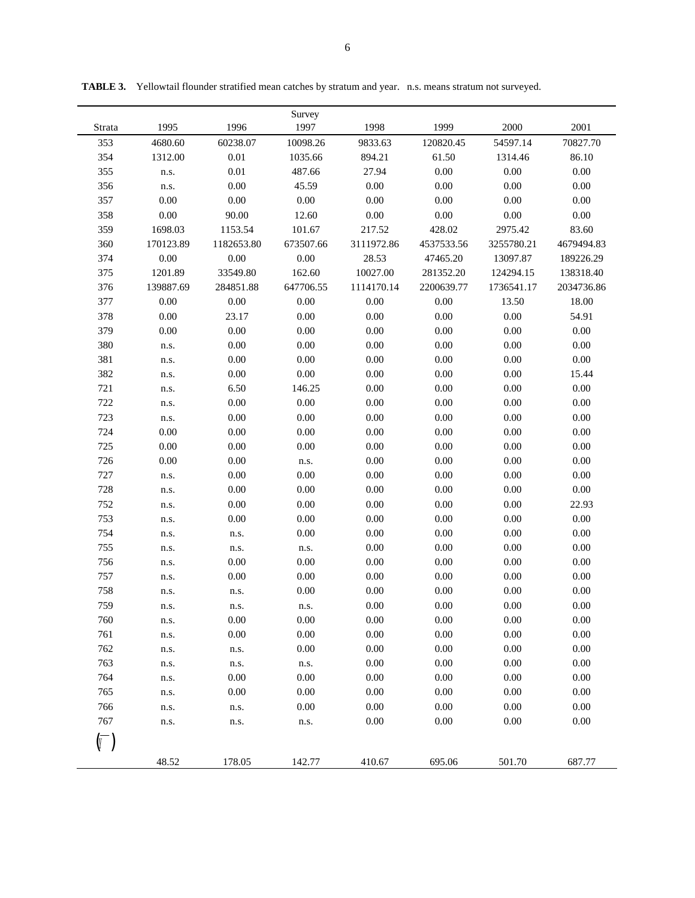| Strata | 1995      | 1996       | Survey<br>1997 | 1998       | 1999       | 2000       | 2001       |
|--------|-----------|------------|----------------|------------|------------|------------|------------|
| 353    | 4680.60   | 60238.07   | 10098.26       | 9833.63    | 120820.45  | 54597.14   | 70827.70   |
| 354    | 1312.00   | $0.01\,$   | 1035.66        | 894.21     | 61.50      | 1314.46    | 86.10      |
| 355    | n.s.      | $0.01\,$   | 487.66         | 27.94      | 0.00       | 0.00       | 0.00       |
| 356    | n.s.      | 0.00       | 45.59          | 0.00       | 0.00       | 0.00       | 0.00       |
| 357    | 0.00      | 0.00       | 0.00           | 0.00       | 0.00       | 0.00       | 0.00       |
| 358    | 0.00      | 90.00      | 12.60          | 0.00       | $0.00\,$   | 0.00       | 0.00       |
| 359    | 1698.03   | 1153.54    | 101.67         | 217.52     | 428.02     | 2975.42    | 83.60      |
| 360    | 170123.89 | 1182653.80 | 673507.66      | 3111972.86 | 4537533.56 | 3255780.21 | 4679494.83 |
| 374    | 0.00      | 0.00       | 0.00           | 28.53      | 47465.20   | 13097.87   | 189226.29  |
| 375    | 1201.89   | 33549.80   | 162.60         | 10027.00   | 281352.20  | 124294.15  | 138318.40  |
| 376    | 139887.69 | 284851.88  | 647706.55      | 1114170.14 | 2200639.77 | 1736541.17 | 2034736.86 |
| 377    | 0.00      | 0.00       | 0.00           | 0.00       | 0.00       | 13.50      | 18.00      |
| 378    | 0.00      | 23.17      | 0.00           | 0.00       | 0.00       | 0.00       | 54.91      |
| 379    | 0.00      | $0.00\,$   | 0.00           | $0.00\,$   | 0.00       | 0.00       | 0.00       |
| 380    | n.s.      | 0.00       | 0.00           | 0.00       | 0.00       | 0.00       | 0.00       |
| 381    | n.s.      | 0.00       | 0.00           | 0.00       | 0.00       | 0.00       | 0.00       |
| 382    | n.s.      | 0.00       | 0.00           | 0.00       | 0.00       | 0.00       | 15.44      |
| 721    | n.s.      | 6.50       | 146.25         | 0.00       | 0.00       | 0.00       | 0.00       |
| 722    | n.s.      | 0.00       | 0.00           | 0.00       | 0.00       | 0.00       | 0.00       |
| 723    | n.s.      | 0.00       | 0.00           | 0.00       | 0.00       | 0.00       | 0.00       |
| 724    | 0.00      | 0.00       | 0.00           | $0.00\,$   | 0.00       | 0.00       | 0.00       |
| 725    | 0.00      | 0.00       | 0.00           | 0.00       | 0.00       | 0.00       | 0.00       |
| 726    | 0.00      | 0.00       | n.s.           | 0.00       | 0.00       | 0.00       | 0.00       |
| 727    | n.s.      | 0.00       | 0.00           | 0.00       | 0.00       | 0.00       | 0.00       |
| 728    | n.s.      | 0.00       | 0.00           | 0.00       | 0.00       | 0.00       | 0.00       |
| 752    | n.s.      | 0.00       | 0.00           | 0.00       | 0.00       | 0.00       | 22.93      |
| 753    | n.s.      | 0.00       | 0.00           | 0.00       | 0.00       | 0.00       | 0.00       |
| 754    | n.s.      | n.s.       | 0.00           | 0.00       | 0.00       | 0.00       | 0.00       |
| 755    | n.s.      | n.s.       | n.s.           | $0.00\,$   | 0.00       | 0.00       | 0.00       |
| 756    | n.s.      | 0.00       | 0.00           | 0.00       | 0.00       | 0.00       | 0.00       |
| 757    | n.s.      | 0.00       | 0.00           | 0.00       | 0.00       | 0.00       | 0.00       |
| 758    | n.s.      | n.s.       | 0.00           | 0.00       | 0.00       | 0.00       | 0.00       |
| 759    | n.s.      | n.s.       | n.s.           | 0.00       | 0.00       | 0.00       | 0.00       |
| 760    | n.s.      | 0.00       | 0.00           | $0.00\,$   | $0.00\,$   | $0.00\,$   | 0.00       |
| 761    | n.s.      | $0.00\,$   | 0.00           | $0.00\,$   | $0.00\,$   | $0.00\,$   | 0.00       |
| 762    | n.s.      | n.s.       | 0.00           | $0.00\,$   | 0.00       | 0.00       | 0.00       |
| 763    | n.s.      | n.s.       | n.s.           | 0.00       | 0.00       | 0.00       | 0.00       |
| 764    | n.s.      | 0.00       | 0.00           | 0.00       | 0.00       | 0.00       | 0.00       |
| 765    | n.s.      | 0.00       | 0.00           | 0.00       | 0.00       | 0.00       | 0.00       |
| 766    | n.s.      | n.s.       | 0.00           | 0.00       | 0.00       | 0.00       | 0.00       |
| 767    | n.s.      | n.s.       | n.s.           | $0.00\,$   | $0.00\,$   | 0.00       | 0.00       |
|        |           |            |                |            |            |            |            |
|        |           |            |                |            |            |            |            |
|        | 48.52     | 178.05     | 142.77         | 410.67     | 695.06     | 501.70     | 687.77     |

**TABLE 3.** Yellowtail flounder stratified mean catches by stratum and year. n.s. means stratum not surveyed.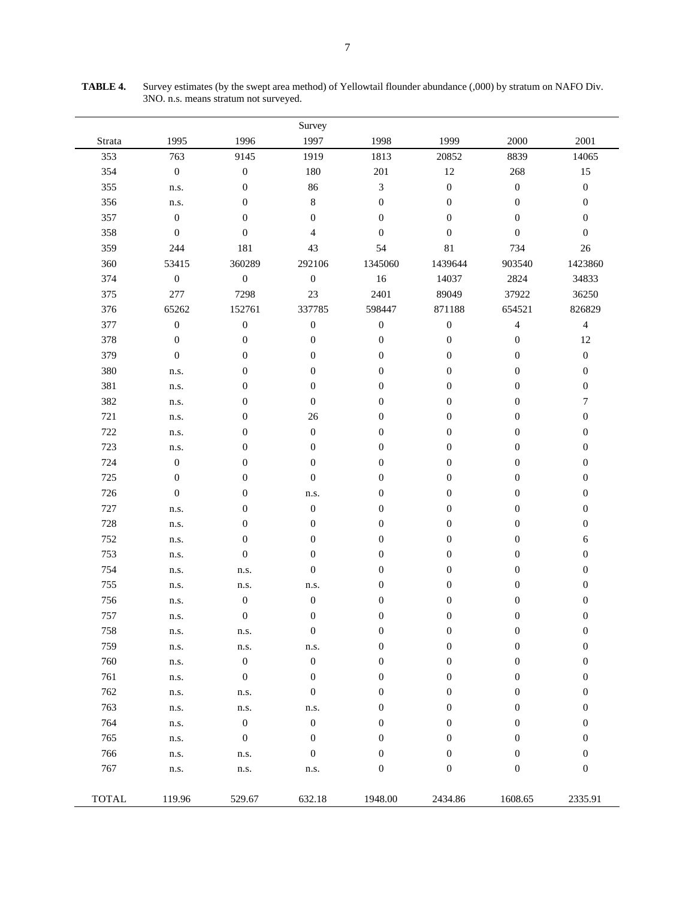|              |                    |                    | Survey           |                  |                  |                  |                  |
|--------------|--------------------|--------------------|------------------|------------------|------------------|------------------|------------------|
| Strata       | 1995               | 1996               | 1997             | 1998             | 1999             | 2000             | 2001             |
| 353          | 763                | 9145               | 1919             | 1813             | 20852            | 8839             | 14065            |
| 354          | $\boldsymbol{0}$   | $\boldsymbol{0}$   | 180              | 201              | $12\,$           | 268              | 15               |
| 355          | n.s.               | $\boldsymbol{0}$   | 86               | $\mathfrak{Z}$   | $\boldsymbol{0}$ | $\boldsymbol{0}$ | $\boldsymbol{0}$ |
| 356          | n.s.               | 0                  | $\,8\,$          | $\boldsymbol{0}$ | $\boldsymbol{0}$ | $\boldsymbol{0}$ | $\boldsymbol{0}$ |
| 357          | $\boldsymbol{0}$   | $\boldsymbol{0}$   | $\boldsymbol{0}$ | $\boldsymbol{0}$ | $\mathbf{0}$     | $\boldsymbol{0}$ | $\boldsymbol{0}$ |
| 358          | $\boldsymbol{0}$   | $\overline{0}$     | $\overline{4}$   | $\boldsymbol{0}$ | $\overline{0}$   | $\boldsymbol{0}$ | $\boldsymbol{0}$ |
| 359          | 244                | 181                | 43               | 54               | 81               | 734              | 26               |
| 360          | 53415              | 360289             | 292106           | 1345060          | 1439644          | 903540           | 1423860          |
| 374          | $\boldsymbol{0}$   | $\boldsymbol{0}$   | $\boldsymbol{0}$ | 16               | 14037            | 2824             | 34833            |
| 375          | 277                | 7298               | 23               | 2401             | 89049            | 37922            | 36250            |
| 376          | 65262              | 152761             | 337785           | 598447           | 871188           | 654521           | 826829           |
| 377          | $\boldsymbol{0}$   | $\boldsymbol{0}$   | $\boldsymbol{0}$ | $\boldsymbol{0}$ | $\boldsymbol{0}$ | $\overline{4}$   | $\overline{4}$   |
| 378          | $\boldsymbol{0}$   | $\boldsymbol{0}$   | $\boldsymbol{0}$ | $\boldsymbol{0}$ | $\boldsymbol{0}$ | $\boldsymbol{0}$ | 12               |
| 379          | $\boldsymbol{0}$   | $\boldsymbol{0}$   | $\boldsymbol{0}$ | $\boldsymbol{0}$ | $\boldsymbol{0}$ | $\boldsymbol{0}$ | $\boldsymbol{0}$ |
| 380          | n.s.               | $\boldsymbol{0}$   | $\boldsymbol{0}$ | $\boldsymbol{0}$ | $\boldsymbol{0}$ | $\boldsymbol{0}$ | $\boldsymbol{0}$ |
| 381          | n.s.               | 0                  | $\boldsymbol{0}$ | $\boldsymbol{0}$ | $\boldsymbol{0}$ | $\boldsymbol{0}$ | $\boldsymbol{0}$ |
| 382          | n.s.               | 0                  | $\boldsymbol{0}$ | $\boldsymbol{0}$ | $\boldsymbol{0}$ | $\boldsymbol{0}$ | $\boldsymbol{7}$ |
| 721          | n.s.               | $\boldsymbol{0}$   | 26               | $\boldsymbol{0}$ | $\boldsymbol{0}$ | $\boldsymbol{0}$ | $\boldsymbol{0}$ |
| 722          | n.s.               | $\boldsymbol{0}$   | $\boldsymbol{0}$ | $\boldsymbol{0}$ | $\boldsymbol{0}$ | $\boldsymbol{0}$ | $\boldsymbol{0}$ |
| 723          | n.s.               | 0                  | $\boldsymbol{0}$ | $\boldsymbol{0}$ | $\boldsymbol{0}$ | $\boldsymbol{0}$ | $\boldsymbol{0}$ |
| 724          | $\boldsymbol{0}$   | $\boldsymbol{0}$   | $\boldsymbol{0}$ | $\boldsymbol{0}$ | $\boldsymbol{0}$ | $\boldsymbol{0}$ | $\boldsymbol{0}$ |
| 725          | $\boldsymbol{0}$   | $\boldsymbol{0}$   | $\boldsymbol{0}$ | $\boldsymbol{0}$ | $\boldsymbol{0}$ | $\boldsymbol{0}$ | $\boldsymbol{0}$ |
| 726          | $\boldsymbol{0}$   | $\boldsymbol{0}$   | n.s.             | $\boldsymbol{0}$ | $\boldsymbol{0}$ | $\boldsymbol{0}$ | $\boldsymbol{0}$ |
| 727          | n.s.               | 0                  | $\boldsymbol{0}$ | $\boldsymbol{0}$ | $\boldsymbol{0}$ | $\boldsymbol{0}$ | $\boldsymbol{0}$ |
| 728          | n.s.               | $\boldsymbol{0}$   | $\boldsymbol{0}$ | $\boldsymbol{0}$ | $\boldsymbol{0}$ | $\boldsymbol{0}$ | $\boldsymbol{0}$ |
| 752          | n.s.               | $\boldsymbol{0}$   | $\boldsymbol{0}$ | $\boldsymbol{0}$ | $\boldsymbol{0}$ | $\boldsymbol{0}$ | 6                |
| 753          | n.s.               | $\boldsymbol{0}$   | $\boldsymbol{0}$ | $\boldsymbol{0}$ | $\boldsymbol{0}$ | $\boldsymbol{0}$ | $\boldsymbol{0}$ |
| 754          | n.s.               | n.s.               | $\boldsymbol{0}$ | $\boldsymbol{0}$ | 0                | $\boldsymbol{0}$ | $\boldsymbol{0}$ |
| 755          | n.s.               | n.s.               | n.s.             | $\boldsymbol{0}$ | 0                | $\boldsymbol{0}$ | $\boldsymbol{0}$ |
| 756          | n.s.               | $\boldsymbol{0}$   | $\boldsymbol{0}$ | $\boldsymbol{0}$ | $\boldsymbol{0}$ | $\boldsymbol{0}$ | $\boldsymbol{0}$ |
| 757          | n.s.               | $\boldsymbol{0}$   | $\boldsymbol{0}$ | $\overline{0}$   | $\overline{0}$   | $\boldsymbol{0}$ | $\boldsymbol{0}$ |
| 758          | n.s.               | n.s.               | $\boldsymbol{0}$ | $\boldsymbol{0}$ | $\boldsymbol{0}$ | $\boldsymbol{0}$ | $\boldsymbol{0}$ |
| 759          | n.s.               | n.s.               | n.s.             | $\boldsymbol{0}$ | $\boldsymbol{0}$ | $\boldsymbol{0}$ | $\boldsymbol{0}$ |
| 760          | n.s.               | $\boldsymbol{0}$   | $\boldsymbol{0}$ | $\boldsymbol{0}$ | $\boldsymbol{0}$ | $\boldsymbol{0}$ | $\boldsymbol{0}$ |
| 761          | n.s.               | $\boldsymbol{0}$   | $\boldsymbol{0}$ | $\boldsymbol{0}$ | $\boldsymbol{0}$ | $\boldsymbol{0}$ | $\boldsymbol{0}$ |
| 762          | n.s.               | n.s.               | $\boldsymbol{0}$ | $\boldsymbol{0}$ | $\boldsymbol{0}$ | $\boldsymbol{0}$ | $\boldsymbol{0}$ |
| 763          | n.s.               | n.s.               | n.s.             | $\boldsymbol{0}$ | $\boldsymbol{0}$ | $\boldsymbol{0}$ | $\boldsymbol{0}$ |
| 764          | n.s.               | $\boldsymbol{0}$   | $\boldsymbol{0}$ | $\boldsymbol{0}$ | $\boldsymbol{0}$ | $\boldsymbol{0}$ | $\boldsymbol{0}$ |
| 765          | n.s.               | $\boldsymbol{0}$   | $\boldsymbol{0}$ | $\boldsymbol{0}$ | $\boldsymbol{0}$ | $\boldsymbol{0}$ | $\boldsymbol{0}$ |
| 766          | n.s.               | n.s.               | $\boldsymbol{0}$ | $\mathbf{0}$     | $\boldsymbol{0}$ | $\boldsymbol{0}$ | $\boldsymbol{0}$ |
| 767          | ${\bf n}.{\bf s}.$ | ${\bf n}.{\bf s}.$ | n.s.             | $\boldsymbol{0}$ | $\boldsymbol{0}$ | $\boldsymbol{0}$ | $\boldsymbol{0}$ |
| <b>TOTAL</b> | 119.96             | 529.67             | 632.18           | 1948.00          | 2434.86          | 1608.65          | 2335.91          |

**TABLE 4.** Survey estimates (by the swept area method) of Yellowtail flounder abundance (,000) by stratum on NAFO Div. 3NO. n.s. means stratum not surveyed.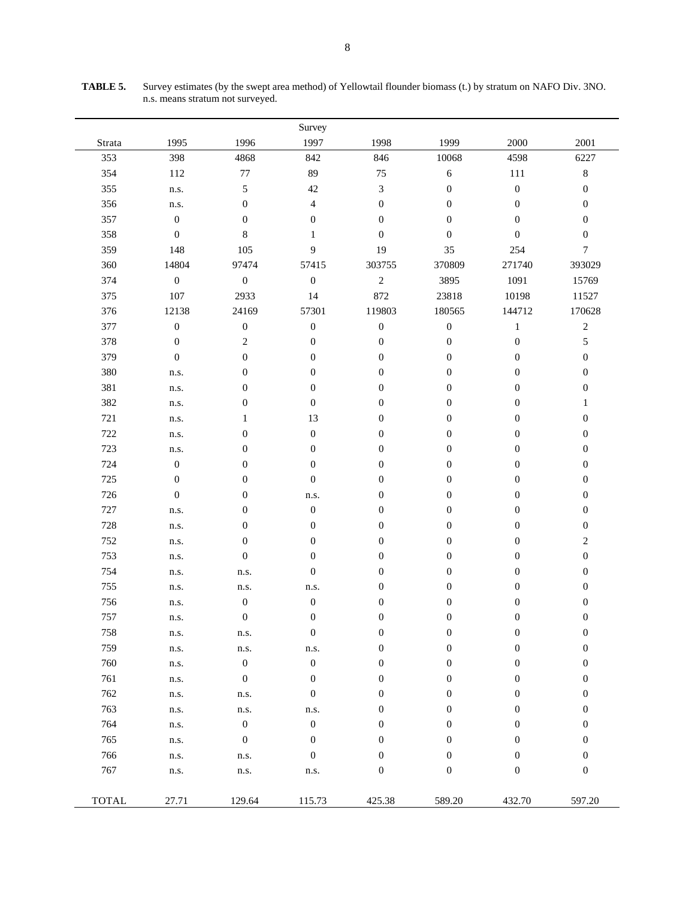|              |                  |                  | Survey           |                  |                  |                  |                  |
|--------------|------------------|------------------|------------------|------------------|------------------|------------------|------------------|
| Strata       | 1995             | 1996             | 1997             | 1998             | 1999             | 2000             | 2001             |
| 353          | 398              | 4868             | 842              | 846              | 10068            | 4598             | 6227             |
| 354          | 112              | $77\,$           | 89               | 75               | $\sqrt{6}$       | 111              | $\,8\,$          |
| 355          | n.s.             | 5                | 42               | $\sqrt{3}$       | $\boldsymbol{0}$ | $\boldsymbol{0}$ | $\boldsymbol{0}$ |
| 356          | n.s.             | $\boldsymbol{0}$ | $\overline{4}$   | $\boldsymbol{0}$ | $\boldsymbol{0}$ | $\boldsymbol{0}$ | $\boldsymbol{0}$ |
| 357          | $\boldsymbol{0}$ | $\boldsymbol{0}$ | $\boldsymbol{0}$ | $\boldsymbol{0}$ | $\mathbf{0}$     | $\boldsymbol{0}$ | $\boldsymbol{0}$ |
| 358          | $\boldsymbol{0}$ | 8                | $\mathbf{1}$     | $\boldsymbol{0}$ | $\boldsymbol{0}$ | $\boldsymbol{0}$ | $\boldsymbol{0}$ |
| 359          | 148              | 105              | 9                | 19               | 35               | 254              | 7                |
| 360          | 14804            | 97474            | 57415            | 303755           | 370809           | 271740           | 393029           |
| 374          | $\boldsymbol{0}$ | $\boldsymbol{0}$ | $\boldsymbol{0}$ | $\sqrt{2}$       | 3895             | 1091             | 15769            |
| 375          | 107              | 2933             | 14               | 872              | 23818            | 10198            | 11527            |
| 376          | 12138            | 24169            | 57301            | 119803           | 180565           | 144712           | 170628           |
| 377          | $\boldsymbol{0}$ | $\boldsymbol{0}$ | $\boldsymbol{0}$ | $\boldsymbol{0}$ | $\boldsymbol{0}$ | $\mathbf{1}$     | $\overline{c}$   |
| 378          | $\boldsymbol{0}$ | $\overline{c}$   | $\boldsymbol{0}$ | $\boldsymbol{0}$ | $\boldsymbol{0}$ | $\boldsymbol{0}$ | 5                |
| 379          | $\boldsymbol{0}$ | $\boldsymbol{0}$ | $\boldsymbol{0}$ | $\boldsymbol{0}$ | $\boldsymbol{0}$ | $\boldsymbol{0}$ | $\boldsymbol{0}$ |
| 380          | n.s.             | $\boldsymbol{0}$ | $\boldsymbol{0}$ | $\boldsymbol{0}$ | $\boldsymbol{0}$ | $\boldsymbol{0}$ | $\boldsymbol{0}$ |
| 381          | n.s.             | $\boldsymbol{0}$ | $\boldsymbol{0}$ | $\boldsymbol{0}$ | $\boldsymbol{0}$ | $\boldsymbol{0}$ | $\boldsymbol{0}$ |
| 382          | n.s.             | $\boldsymbol{0}$ | $\boldsymbol{0}$ | $\boldsymbol{0}$ | $\boldsymbol{0}$ | $\boldsymbol{0}$ | $\mathbf{1}$     |
| 721          | n.s.             | $\mathbf{1}$     | 13               | $\boldsymbol{0}$ | $\boldsymbol{0}$ | $\boldsymbol{0}$ | $\boldsymbol{0}$ |
| 722          | n.s.             | $\boldsymbol{0}$ | $\boldsymbol{0}$ | $\boldsymbol{0}$ | $\boldsymbol{0}$ | $\boldsymbol{0}$ | $\boldsymbol{0}$ |
| 723          | n.s.             | $\boldsymbol{0}$ | $\boldsymbol{0}$ | $\boldsymbol{0}$ | $\boldsymbol{0}$ | $\boldsymbol{0}$ | $\boldsymbol{0}$ |
| 724          | $\boldsymbol{0}$ | $\boldsymbol{0}$ | $\boldsymbol{0}$ | $\boldsymbol{0}$ | $\boldsymbol{0}$ | $\boldsymbol{0}$ | $\boldsymbol{0}$ |
| 725          | $\boldsymbol{0}$ | $\boldsymbol{0}$ | $\boldsymbol{0}$ | $\boldsymbol{0}$ | $\boldsymbol{0}$ | $\boldsymbol{0}$ | $\boldsymbol{0}$ |
| 726          | $\boldsymbol{0}$ | $\boldsymbol{0}$ | n.s.             | $\mathbf{0}$     | $\boldsymbol{0}$ | $\boldsymbol{0}$ | $\boldsymbol{0}$ |
| 727          | n.s.             | $\boldsymbol{0}$ | $\boldsymbol{0}$ | $\boldsymbol{0}$ | $\boldsymbol{0}$ | $\boldsymbol{0}$ | $\boldsymbol{0}$ |
| 728          | n.s.             | $\boldsymbol{0}$ | $\boldsymbol{0}$ | $\boldsymbol{0}$ | $\boldsymbol{0}$ | $\boldsymbol{0}$ | $\boldsymbol{0}$ |
| 752          | n.s.             | $\boldsymbol{0}$ | $\boldsymbol{0}$ | $\boldsymbol{0}$ | $\boldsymbol{0}$ | $\boldsymbol{0}$ | $\overline{c}$   |
| 753          | n.s.             | $\boldsymbol{0}$ | $\boldsymbol{0}$ | $\boldsymbol{0}$ | $\boldsymbol{0}$ | $\boldsymbol{0}$ | $\boldsymbol{0}$ |
| 754          | n.s.             | n.s.             | $\boldsymbol{0}$ | $\boldsymbol{0}$ | $\boldsymbol{0}$ | $\boldsymbol{0}$ | $\boldsymbol{0}$ |
| 755          | n.s.             | n.s.             | n.s.             | $\boldsymbol{0}$ | $\boldsymbol{0}$ | $\boldsymbol{0}$ | $\boldsymbol{0}$ |
| 756          | n.s.             | $\boldsymbol{0}$ | $\boldsymbol{0}$ | $\boldsymbol{0}$ | $\boldsymbol{0}$ | $\boldsymbol{0}$ | $\boldsymbol{0}$ |
| 757          | n.s.             | $\boldsymbol{0}$ | $\boldsymbol{0}$ | $\overline{0}$   | $\mathbf{0}$     | $\theta$         | $\boldsymbol{0}$ |
| 758          | n.s.             | n.s.             | $\boldsymbol{0}$ | $\boldsymbol{0}$ | $\boldsymbol{0}$ | $\boldsymbol{0}$ | $\boldsymbol{0}$ |
| 759          | n.s.             | n.s.             | n.s.             | $\boldsymbol{0}$ | $\boldsymbol{0}$ | $\boldsymbol{0}$ | $\boldsymbol{0}$ |
| 760          | n.s.             | $\boldsymbol{0}$ | $\boldsymbol{0}$ | $\boldsymbol{0}$ | $\boldsymbol{0}$ | $\boldsymbol{0}$ | $\boldsymbol{0}$ |
| 761          | n.s.             | $\boldsymbol{0}$ | $\boldsymbol{0}$ | $\boldsymbol{0}$ | $\boldsymbol{0}$ | $\boldsymbol{0}$ | $\boldsymbol{0}$ |
| 762          | n.s.             | n.s.             | $\boldsymbol{0}$ | $\boldsymbol{0}$ | $\boldsymbol{0}$ | $\boldsymbol{0}$ | $\boldsymbol{0}$ |
| 763          | n.s.             | n.s.             | n.s.             | $\boldsymbol{0}$ | $\boldsymbol{0}$ | $\boldsymbol{0}$ | $\boldsymbol{0}$ |
| 764          | n.s.             | $\boldsymbol{0}$ | $\boldsymbol{0}$ | $\boldsymbol{0}$ | $\boldsymbol{0}$ | $\boldsymbol{0}$ | $\boldsymbol{0}$ |
| 765          | n.s.             | $\boldsymbol{0}$ | $\boldsymbol{0}$ | $\boldsymbol{0}$ | $\boldsymbol{0}$ | $\boldsymbol{0}$ | $\boldsymbol{0}$ |
| 766          | n.s.             | n.s.             | $\boldsymbol{0}$ | $\boldsymbol{0}$ | $\boldsymbol{0}$ | $\boldsymbol{0}$ | $\boldsymbol{0}$ |
| 767          | n.s.             | n.s.             | n.s.             | $\boldsymbol{0}$ | $\boldsymbol{0}$ | $\boldsymbol{0}$ | $\boldsymbol{0}$ |
| <b>TOTAL</b> | 27.71            | 129.64           | 115.73           | 425.38           | 589.20           | 432.70           | 597.20           |

**TABLE 5.** Survey estimates (by the swept area method) of Yellowtail flounder biomass (t.) by stratum on NAFO Div. 3NO. n.s. means stratum not surveyed.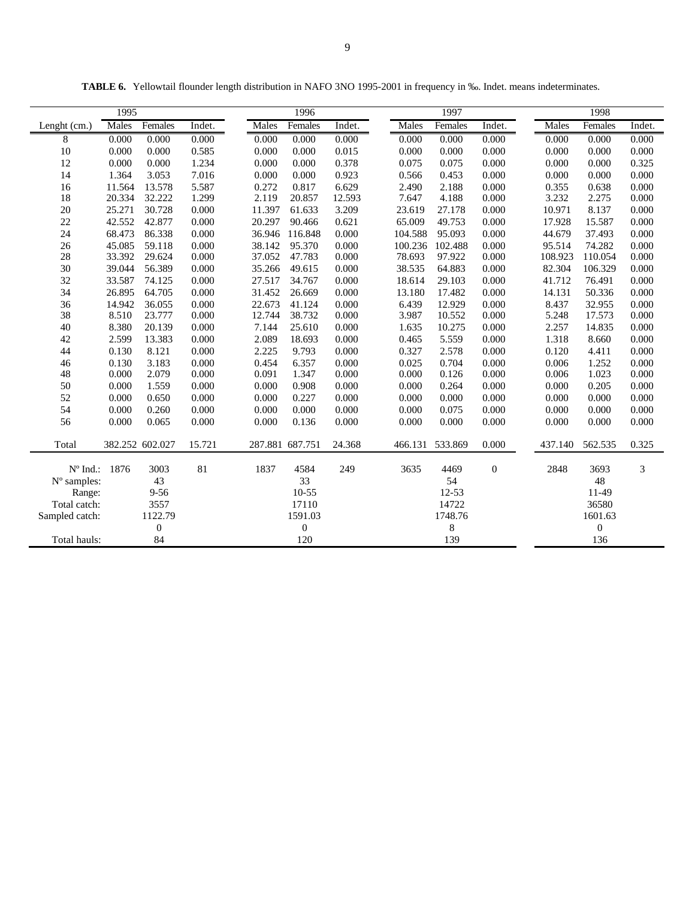|              | 1995   |         |        |        | 1996    |        |         | 1997    |        |         | 1998    |        |  |
|--------------|--------|---------|--------|--------|---------|--------|---------|---------|--------|---------|---------|--------|--|
| Lenght (cm.) | Males  | Females | Indet. | Males  | Females | Indet. | Males   | Females | Indet. | Males   | Females | Indet. |  |
| 8            | 0.000  | 0.000   | 0.000  | 0.000  | 0.000   | 0.000  | 0.000   | 0.000   | 0.000  | 0.000   | 0.000   | 0.000  |  |
| 10           | 0.000  | 0.000   | 0.585  | 0.000  | 0.000   | 0.015  | 0.000   | 0.000   | 0.000  | 0.000   | 0.000   | 0.000  |  |
| 12           | 0.000  | 0.000   | 1.234  | 0.000  | 0.000   | 0.378  | 0.075   | 0.075   | 0.000  | 0.000   | 0.000   | 0.325  |  |
| 14           | 1.364  | 3.053   | 7.016  | 0.000  | 0.000   | 0.923  | 0.566   | 0.453   | 0.000  | 0.000   | 0.000   | 0.000  |  |
| 16           | 11.564 | 13.578  | 5.587  | 0.272  | 0.817   | 6.629  | 2.490   | 2.188   | 0.000  | 0.355   | 0.638   | 0.000  |  |
| 18           | 20.334 | 32.222  | 1.299  | 2.119  | 20.857  | 12.593 | 7.647   | 4.188   | 0.000  | 3.232   | 2.275   | 0.000  |  |
| 20           | 25.271 | 30.728  | 0.000  | 11.397 | 61.633  | 3.209  | 23.619  | 27.178  | 0.000  | 10.971  | 8.137   | 0.000  |  |
| 22           | 42.552 | 42.877  | 0.000  | 20.297 | 90.466  | 0.621  | 65.009  | 49.753  | 0.000  | 17.928  | 15.587  | 0.000  |  |
| 24           | 68.473 | 86.338  | 0.000  | 36.946 | 116.848 | 0.000  | 104.588 | 95.093  | 0.000  | 44.679  | 37.493  | 0.000  |  |
| 26           | 45.085 | 59.118  | 0.000  | 38.142 | 95.370  | 0.000  | 100.236 | 102.488 | 0.000  | 95.514  | 74.282  | 0.000  |  |
| 28           | 33.392 | 29.624  | 0.000  | 37.052 | 47.783  | 0.000  | 78.693  | 97.922  | 0.000  | 108.923 | 110.054 | 0.000  |  |
| 30           | 39.044 | 56.389  | 0.000  | 35.266 | 49.615  | 0.000  | 38.535  | 64.883  | 0.000  | 82.304  | 106.329 | 0.000  |  |

**TABLE 6.** Yellowtail flounder length distribution in NAFO 3NO 1995-2001 in frequency in ‰. Indet. means indeterminates.

| 8              | 0.000  | 0.000            | 0.000  | 0.000           | 0.000     | 0.000  | 0.000   | 0.000   | 0.000    | 0.000   | 0.000          | 0.000 |
|----------------|--------|------------------|--------|-----------------|-----------|--------|---------|---------|----------|---------|----------------|-------|
| $10\,$         | 0.000  | 0.000            | 0.585  | 0.000           | 0.000     | 0.015  | 0.000   | 0.000   | 0.000    | 0.000   | 0.000          | 0.000 |
| 12             | 0.000  | 0.000            | 1.234  | 0.000           | 0.000     | 0.378  | 0.075   | 0.075   | 0.000    | 0.000   | 0.000          | 0.325 |
| 14             | 1.364  | 3.053            | 7.016  | 0.000           | 0.000     | 0.923  | 0.566   | 0.453   | 0.000    | 0.000   | 0.000          | 0.000 |
| 16             | 11.564 | 13.578           | 5.587  | 0.272           | 0.817     | 6.629  | 2.490   | 2.188   | 0.000    | 0.355   | 0.638          | 0.000 |
| 18             | 20.334 | 32.222           | 1.299  | 2.119           | 20.857    | 12.593 | 7.647   | 4.188   | 0.000    | 3.232   | 2.275          | 0.000 |
| $20\,$         | 25.271 | 30.728           | 0.000  | 11.397          | 61.633    | 3.209  | 23.619  | 27.178  | 0.000    | 10.971  | 8.137          | 0.000 |
| 22             | 42.552 | 42.877           | 0.000  | 20.297          | 90.466    | 0.621  | 65.009  | 49.753  | 0.000    | 17.928  | 15.587         | 0.000 |
| 24             | 68.473 | 86.338           | 0.000  | 36.946          | 116.848   | 0.000  | 104.588 | 95.093  | 0.000    | 44.679  | 37.493         | 0.000 |
| 26             | 45.085 | 59.118           | 0.000  | 38.142          | 95.370    | 0.000  | 100.236 | 102.488 | 0.000    | 95.514  | 74.282         | 0.000 |
| 28             | 33.392 | 29.624           | 0.000  | 37.052          | 47.783    | 0.000  | 78.693  | 97.922  | 0.000    | 108.923 | 110.054        | 0.000 |
| 30             | 39.044 | 56.389           | 0.000  | 35.266          | 49.615    | 0.000  | 38.535  | 64.883  | 0.000    | 82.304  | 106.329        | 0.000 |
| 32             | 33.587 | 74.125           | 0.000  | 27.517          | 34.767    | 0.000  | 18.614  | 29.103  | 0.000    | 41.712  | 76.491         | 0.000 |
| 34             | 26.895 | 64.705           | 0.000  | 31.452          | 26.669    | 0.000  | 13.180  | 17.482  | 0.000    | 14.131  | 50.336         | 0.000 |
| 36             | 14.942 | 36.055           | 0.000  | 22.673          | 41.124    | 0.000  | 6.439   | 12.929  | 0.000    | 8.437   | 32.955         | 0.000 |
| 38             | 8.510  | 23.777           | 0.000  | 12.744          | 38.732    | 0.000  | 3.987   | 10.552  | 0.000    | 5.248   | 17.573         | 0.000 |
| 40             | 8.380  | 20.139           | 0.000  | 7.144           | 25.610    | 0.000  | 1.635   | 10.275  | 0.000    | 2.257   | 14.835         | 0.000 |
| 42             | 2.599  | 13.383           | 0.000  | 2.089           | 18.693    | 0.000  | 0.465   | 5.559   | 0.000    | 1.318   | 8.660          | 0.000 |
| 44             | 0.130  | 8.121            | 0.000  | 2.225           | 9.793     | 0.000  | 0.327   | 2.578   | 0.000    | 0.120   | 4.411          | 0.000 |
| 46             | 0.130  | 3.183            | 0.000  | 0.454           | 6.357     | 0.000  | 0.025   | 0.704   | 0.000    | 0.006   | 1.252          | 0.000 |
| 48             | 0.000  | 2.079            | 0.000  | 0.091           | 1.347     | 0.000  | 0.000   | 0.126   | 0.000    | 0.006   | 1.023          | 0.000 |
| 50             | 0.000  | 1.559            | 0.000  | 0.000           | 0.908     | 0.000  | 0.000   | 0.264   | 0.000    | 0.000   | 0.205          | 0.000 |
| 52             | 0.000  | 0.650            | 0.000  | 0.000           | 0.227     | 0.000  | 0.000   | 0.000   | 0.000    | 0.000   | 0.000          | 0.000 |
| 54             | 0.000  | 0.260            | 0.000  | 0.000           | 0.000     | 0.000  | 0.000   | 0.075   | 0.000    | 0.000   | 0.000          | 0.000 |
| 56             | 0.000  | 0.065            | 0.000  | 0.000           | 0.136     | 0.000  | 0.000   | 0.000   | 0.000    | 0.000   | 0.000          | 0.000 |
| Total          |        | 382.252 602.027  | 15.721 | 287.881 687.751 |           | 24.368 | 466.131 | 533.869 | 0.000    | 437.140 | 562.535        | 0.325 |
| N° Ind.: 1876  |        | 3003             | 81     | 1837            | 4584      | 249    | 3635    | 4469    | $\Omega$ | 2848    | 3693           | 3     |
| N° samples:    |        | 43               |        |                 | 33        |        |         | 54      |          |         | 48             |       |
| Range:         |        | $9 - 56$         |        |                 | $10 - 55$ |        |         | 12-53   |          |         | 11-49          |       |
| Total catch:   |        | 3557             |        |                 | 17110     |        |         | 14722   |          |         | 36580          |       |
| Sampled catch: |        | 1122.79          |        |                 | 1591.03   |        |         | 1748.76 |          |         | 1601.63        |       |
|                |        | $\boldsymbol{0}$ |        |                 | $\theta$  |        |         | 8       |          |         | $\overline{0}$ |       |
| Total hauls:   |        | 84               |        |                 | 120       |        |         | 139     |          |         | 136            |       |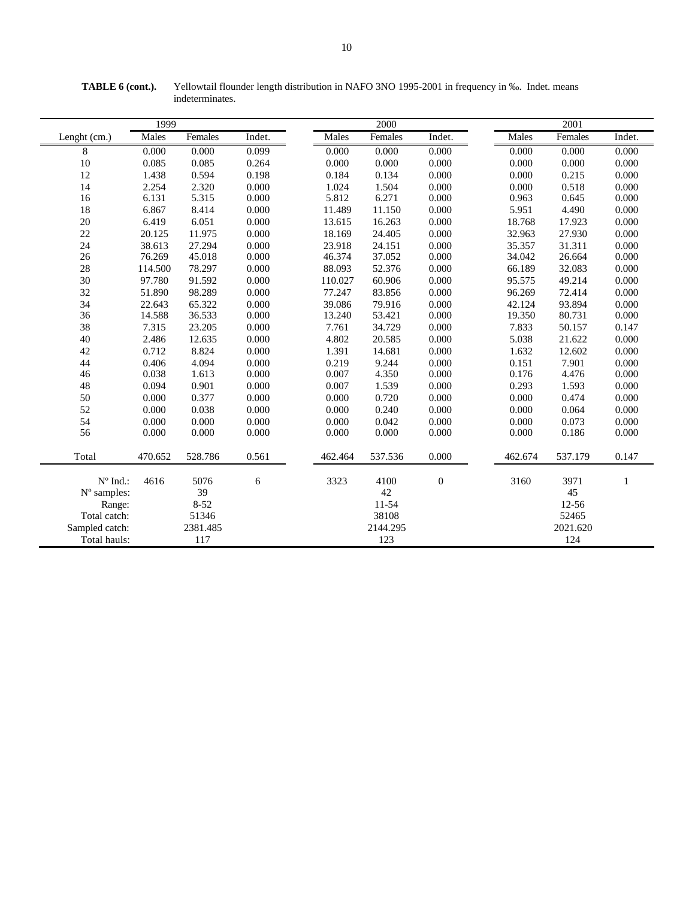|                   | 1999         |          |        |         | 2000     |                |         | 2001     |              |
|-------------------|--------------|----------|--------|---------|----------|----------------|---------|----------|--------------|
| Lenght (cm.)      | <b>Males</b> | Females  | Indet. | Males   | Females  | Indet.         | Males   | Females  | Indet.       |
| 8                 | 0.000        | 0.000    | 0.099  | 0.000   | 0.000    | 0.000          | 0.000   | 0.000    | 0.000        |
| 10                | 0.085        | 0.085    | 0.264  | 0.000   | 0.000    | 0.000          | 0.000   | 0.000    | 0.000        |
| 12                | 1.438        | 0.594    | 0.198  | 0.184   | 0.134    | 0.000          | 0.000   | 0.215    | 0.000        |
| 14                | 2.254        | 2.320    | 0.000  | 1.024   | 1.504    | 0.000          | 0.000   | 0.518    | 0.000        |
| 16                | 6.131        | 5.315    | 0.000  | 5.812   | 6.271    | 0.000          | 0.963   | 0.645    | 0.000        |
| 18                | 6.867        | 8.414    | 0.000  | 11.489  | 11.150   | 0.000          | 5.951   | 4.490    | 0.000        |
| 20                | 6.419        | 6.051    | 0.000  | 13.615  | 16.263   | 0.000          | 18.768  | 17.923   | 0.000        |
| 22                | 20.125       | 11.975   | 0.000  | 18.169  | 24.405   | 0.000          | 32.963  | 27.930   | 0.000        |
| 24                | 38.613       | 27.294   | 0.000  | 23.918  | 24.151   | 0.000          | 35.357  | 31.311   | 0.000        |
| 26                | 76.269       | 45.018   | 0.000  | 46.374  | 37.052   | 0.000          | 34.042  | 26.664   | 0.000        |
| 28                | 114.500      | 78.297   | 0.000  | 88.093  | 52.376   | 0.000          | 66.189  | 32.083   | 0.000        |
| 30                | 97.780       | 91.592   | 0.000  | 110.027 | 60.906   | 0.000          | 95.575  | 49.214   | 0.000        |
| 32                | 51.890       | 98.289   | 0.000  | 77.247  | 83.856   | 0.000          | 96.269  | 72.414   | 0.000        |
| 34                | 22.643       | 65.322   | 0.000  | 39.086  | 79.916   | 0.000          | 42.124  | 93.894   | 0.000        |
| 36                | 14.588       | 36.533   | 0.000  | 13.240  | 53.421   | 0.000          | 19.350  | 80.731   | 0.000        |
| 38                | 7.315        | 23.205   | 0.000  | 7.761   | 34.729   | 0.000          | 7.833   | 50.157   | 0.147        |
| 40                | 2.486        | 12.635   | 0.000  | 4.802   | 20.585   | 0.000          | 5.038   | 21.622   | 0.000        |
| 42                | 0.712        | 8.824    | 0.000  | 1.391   | 14.681   | 0.000          | 1.632   | 12.602   | 0.000        |
| 44                | 0.406        | 4.094    | 0.000  | 0.219   | 9.244    | 0.000          | 0.151   | 7.901    | 0.000        |
| 46                | 0.038        | 1.613    | 0.000  | 0.007   | 4.350    | 0.000          | 0.176   | 4.476    | 0.000        |
| 48                | 0.094        | 0.901    | 0.000  | 0.007   | 1.539    | 0.000          | 0.293   | 1.593    | 0.000        |
| 50                | 0.000        | 0.377    | 0.000  | 0.000   | 0.720    | 0.000          | 0.000   | 0.474    | 0.000        |
| 52                | 0.000        | 0.038    | 0.000  | 0.000   | 0.240    | 0.000          | 0.000   | 0.064    | 0.000        |
| 54                | 0.000        | 0.000    | 0.000  | 0.000   | 0.042    | 0.000          | 0.000   | 0.073    | 0.000        |
| 56                | 0.000        | 0.000    | 0.000  | 0.000   | 0.000    | 0.000          | 0.000   | 0.186    | 0.000        |
| Total             | 470.652      | 528.786  | 0.561  | 462.464 | 537.536  | 0.000          | 462.674 | 537.179  | 0.147        |
| $N^{\circ}$ Ind.: | 4616         | 5076     | 6      | 3323    | 4100     | $\overline{0}$ | 3160    | 3971     | $\mathbf{1}$ |
| N° samples:       |              | 39       |        |         | 42       |                |         | 45       |              |
| Range:            |              | $8 - 52$ |        |         | 11-54    |                |         | 12-56    |              |
| Total catch:      |              | 51346    |        |         | 38108    |                |         | 52465    |              |
| Sampled catch:    |              | 2381.485 |        |         | 2144.295 |                |         | 2021.620 |              |
| Total hauls:      |              | 117      |        |         | 123      |                |         | 124      |              |
|                   |              |          |        |         |          |                |         |          |              |

**TABLE 6 (cont.).** Yellowtail flounder length distribution in NAFO 3NO 1995-2001 in frequency in ‰. Indet. means indeterminates.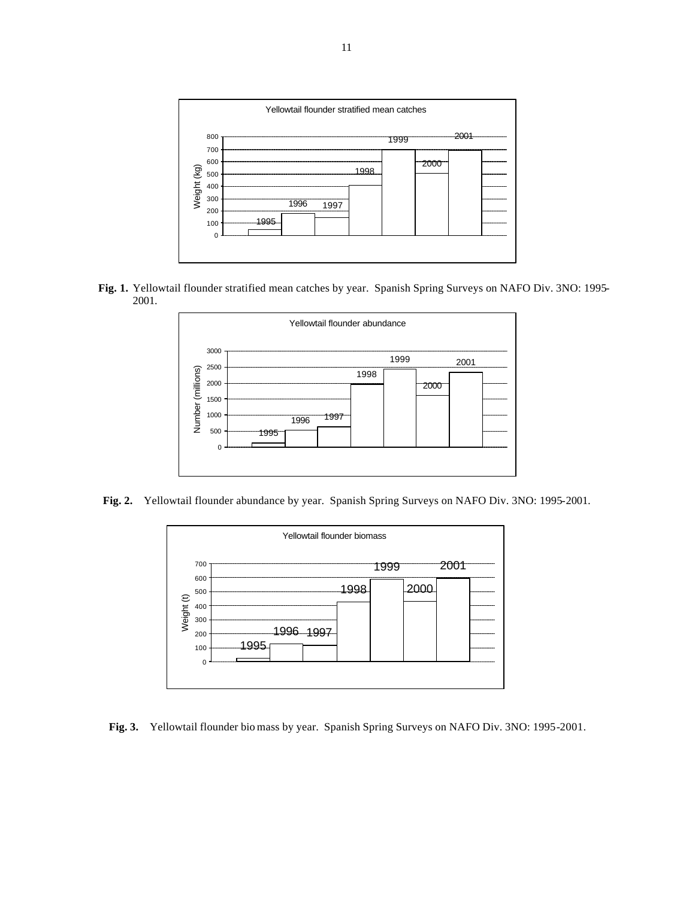

 **Fig. 1.** Yellowtail flounder stratified mean catches by year. Spanish Spring Surveys on NAFO Div. 3NO: 1995- 2001.



**Fig. 2.** Yellowtail flounder abundance by year. Spanish Spring Surveys on NAFO Div. 3NO: 1995-2001.



**Fig. 3.** Yellowtail flounder bio mass by year. Spanish Spring Surveys on NAFO Div. 3NO: 1995-2001.